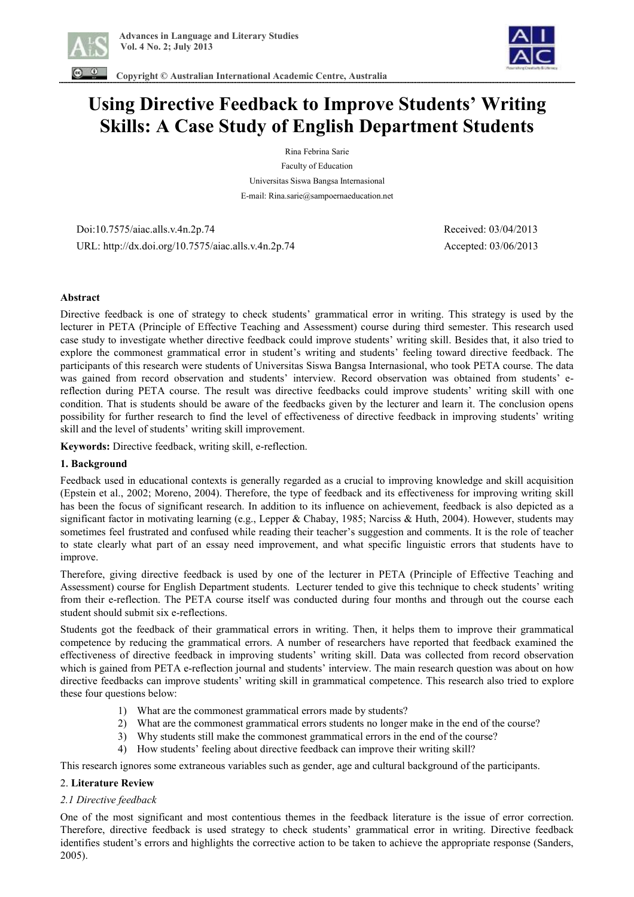



 **Copyright © Australian International Academic Centre, Australia** 

# **Using Directive Feedback to Improve Students' Writing Skills: A Case Study of English Department Students**

Rina Febrina Sarie Faculty of Education Universitas Siswa Bangsa Internasional E-mail: Rina.sarie@sampoernaeducation.net

 Doi:10.7575/aiac.alls.v.4n.2p.74 Received: 03/04/2013 URL: http://dx.doi.org/10.7575/aiac.alls.v.4n.2p.74 Accepted: 03/06/2013

#### **Abstract**

Directive feedback is one of strategy to check students' grammatical error in writing. This strategy is used by the lecturer in PETA (Principle of Effective Teaching and Assessment) course during third semester. This research used case study to investigate whether directive feedback could improve students' writing skill. Besides that, it also tried to explore the commonest grammatical error in student's writing and students' feeling toward directive feedback. The participants of this research were students of Universitas Siswa Bangsa Internasional, who took PETA course. The data was gained from record observation and students' interview. Record observation was obtained from students' ereflection during PETA course. The result was directive feedbacks could improve students' writing skill with one condition. That is students should be aware of the feedbacks given by the lecturer and learn it. The conclusion opens possibility for further research to find the level of effectiveness of directive feedback in improving students' writing skill and the level of students' writing skill improvement.

**Keywords:** Directive feedback, writing skill, e-reflection.

#### **1. Background**

Feedback used in educational contexts is generally regarded as a crucial to improving knowledge and skill acquisition (Epstein et al., 2002; Moreno, 2004). Therefore, the type of feedback and its effectiveness for improving writing skill has been the focus of significant research. In addition to its influence on achievement, feedback is also depicted as a significant factor in motivating learning (e.g., Lepper & Chabay, 1985; Narciss & Huth, 2004). However, students may sometimes feel frustrated and confused while reading their teacher's suggestion and comments. It is the role of teacher to state clearly what part of an essay need improvement, and what specific linguistic errors that students have to improve.

Therefore, giving directive feedback is used by one of the lecturer in PETA (Principle of Effective Teaching and Assessment) course for English Department students. Lecturer tended to give this technique to check students' writing from their e-reflection. The PETA course itself was conducted during four months and through out the course each student should submit six e-reflections.

Students got the feedback of their grammatical errors in writing. Then, it helps them to improve their grammatical competence by reducing the grammatical errors. A number of researchers have reported that feedback examined the effectiveness of directive feedback in improving students' writing skill. Data was collected from record observation which is gained from PETA e-reflection journal and students' interview. The main research question was about on how directive feedbacks can improve students' writing skill in grammatical competence. This research also tried to explore these four questions below:

- 1) What are the commonest grammatical errors made by students?
- 2) What are the commonest grammatical errors students no longer make in the end of the course?
- 3) Why students still make the commonest grammatical errors in the end of the course?
- 4) How students' feeling about directive feedback can improve their writing skill?

This research ignores some extraneous variables such as gender, age and cultural background of the participants.

### 2. **Literature Review**

### *2.1 Directive feedback*

One of the most significant and most contentious themes in the feedback literature is the issue of error correction. Therefore, directive feedback is used strategy to check students' grammatical error in writing. Directive feedback identifies student's errors and highlights the corrective action to be taken to achieve the appropriate response (Sanders, 2005).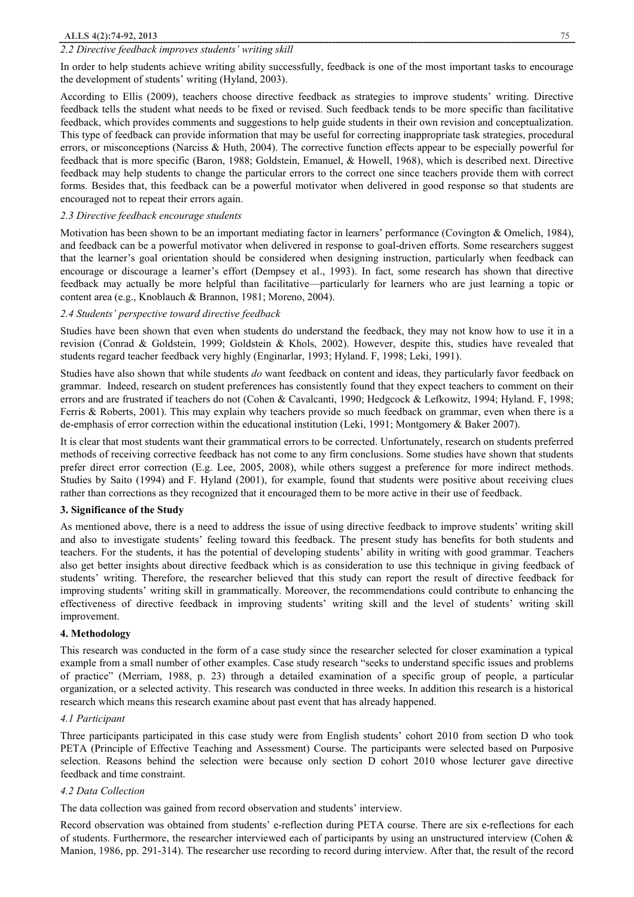#### *2.2 Directive feedback improves students' writing skill*

In order to help students achieve writing ability successfully, feedback is one of the most important tasks to encourage the development of students' writing (Hyland, 2003).

According to Ellis (2009), teachers choose directive feedback as strategies to improve students' writing. Directive feedback tells the student what needs to be fixed or revised. Such feedback tends to be more specific than facilitative feedback, which provides comments and suggestions to help guide students in their own revision and conceptualization. This type of feedback can provide information that may be useful for correcting inappropriate task strategies, procedural errors, or misconceptions (Narciss & Huth, 2004). The corrective function effects appear to be especially powerful for feedback that is more specific (Baron, 1988; Goldstein, Emanuel, & Howell, 1968), which is described next. Directive feedback may help students to change the particular errors to the correct one since teachers provide them with correct forms. Besides that, this feedback can be a powerful motivator when delivered in good response so that students are encouraged not to repeat their errors again.

#### *2.3 Directive feedback encourage students*

Motivation has been shown to be an important mediating factor in learners' performance (Covington & Omelich, 1984), and feedback can be a powerful motivator when delivered in response to goal-driven efforts. Some researchers suggest that the learner's goal orientation should be considered when designing instruction, particularly when feedback can encourage or discourage a learner's effort (Dempsey et al., 1993). In fact, some research has shown that directive feedback may actually be more helpful than facilitative—particularly for learners who are just learning a topic or content area (e.g., Knoblauch & Brannon, 1981; Moreno, 2004).

#### *2.4 Students' perspective toward directive feedback*

Studies have been shown that even when students do understand the feedback, they may not know how to use it in a revision (Conrad & Goldstein, 1999; Goldstein & Khols, 2002). However, despite this, studies have revealed that students regard teacher feedback very highly (Enginarlar, 1993; Hyland. F, 1998; Leki, 1991).

Studies have also shown that while students *do* want feedback on content and ideas, they particularly favor feedback on grammar. Indeed, research on student preferences has consistently found that they expect teachers to comment on their errors and are frustrated if teachers do not (Cohen & Cavalcanti, 1990; Hedgcock & Lefkowitz, 1994; Hyland. F, 1998; Ferris & Roberts, 2001). This may explain why teachers provide so much feedback on grammar, even when there is a de-emphasis of error correction within the educational institution (Leki, 1991; Montgomery & Baker 2007).

It is clear that most students want their grammatical errors to be corrected. Unfortunately, research on students preferred methods of receiving corrective feedback has not come to any firm conclusions. Some studies have shown that students prefer direct error correction (E.g. Lee, 2005, 2008), while others suggest a preference for more indirect methods. Studies by Saito (1994) and F. Hyland (2001), for example, found that students were positive about receiving clues rather than corrections as they recognized that it encouraged them to be more active in their use of feedback.

#### **3. Significance of the Study**

As mentioned above, there is a need to address the issue of using directive feedback to improve students' writing skill and also to investigate students' feeling toward this feedback. The present study has benefits for both students and teachers. For the students, it has the potential of developing students' ability in writing with good grammar. Teachers also get better insights about directive feedback which is as consideration to use this technique in giving feedback of students' writing. Therefore, the researcher believed that this study can report the result of directive feedback for improving students' writing skill in grammatically. Moreover, the recommendations could contribute to enhancing the effectiveness of directive feedback in improving students' writing skill and the level of students' writing skill improvement.

#### **4. Methodology**

This research was conducted in the form of a case study since the researcher selected for closer examination a typical example from a small number of other examples. Case study research "seeks to understand specific issues and problems of practice" (Merriam, 1988, p. 23) through a detailed examination of a specific group of people, a particular organization, or a selected activity. This research was conducted in three weeks. In addition this research is a historical research which means this research examine about past event that has already happened.

#### *4.1 Participant*

Three participants participated in this case study were from English students' cohort 2010 from section D who took PETA (Principle of Effective Teaching and Assessment) Course. The participants were selected based on Purposive selection. Reasons behind the selection were because only section D cohort 2010 whose lecturer gave directive feedback and time constraint.

#### *4.2 Data Collection*

The data collection was gained from record observation and students' interview.

Record observation was obtained from students' e-reflection during PETA course. There are six e-reflections for each of students. Furthermore, the researcher interviewed each of participants by using an unstructured interview (Cohen & Manion, 1986, pp. 291-314). The researcher use recording to record during interview. After that, the result of the record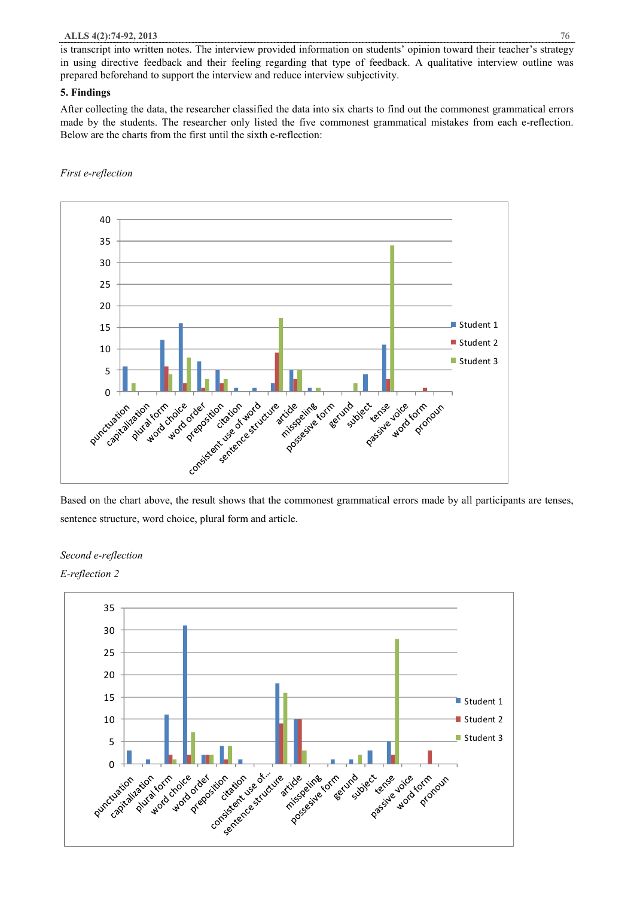is transcript into written notes. The interview provided information on students' opinion toward their teacher's strategy in using directive feedback and their feeling regarding that type of feedback. A qualitative interview outline was prepared beforehand to support the interview and reduce interview subjectivity.

#### **5. Findings**

After collecting the data, the researcher classified the data into six charts to find out the commonest grammatical errors made by the students. The researcher only listed the five commonest grammatical mistakes from each e-reflection. Below are the charts from the first until the sixth e-reflection:

#### *First e-reflection*



Based on the chart above, the result shows that the commonest grammatical errors made by all participants are tenses, sentence structure, word choice, plural form and article.

#### *Second e-reflection*

#### *E-reflection 2*

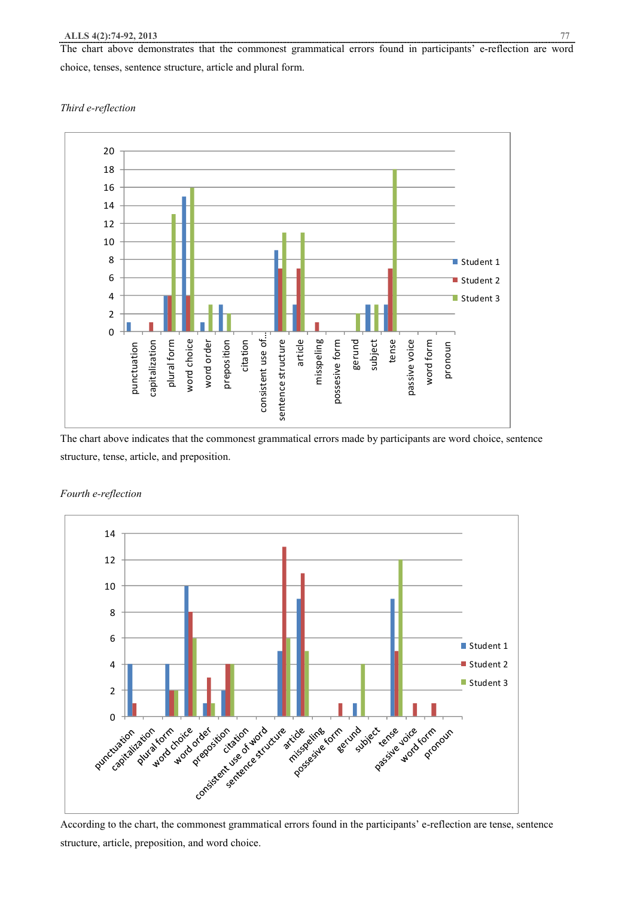The chart above demonstrates that the commonest grammatical errors found in participants' e-reflection are word choice, tenses, sentence structure, article and plural form.

#### *Third e-reflection*



The chart above indicates that the commonest grammatical errors made by participants are word choice, sentence structure, tense, article, and preposition.



*Fourth e-reflection* 

According to the chart, the commonest grammatical errors found in the participants' e-reflection are tense, sentence structure, article, preposition, and word choice.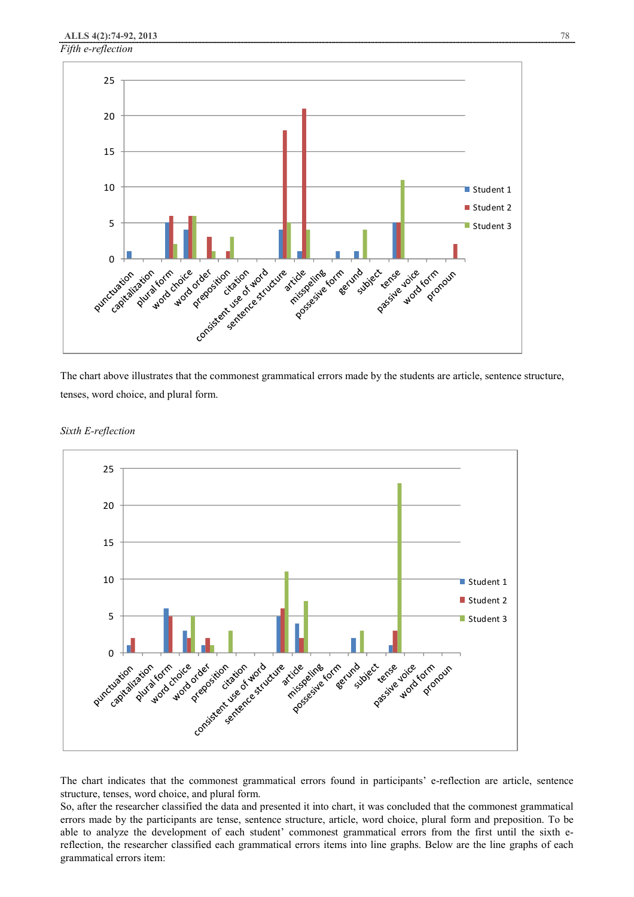

The chart above illustrates that the commonest grammatical errors made by the students are article, sentence structure, tenses, word choice, and plural form.



*Sixth E-reflection* 

The chart indicates that the commonest grammatical errors found in participants' e-reflection are article, sentence structure, tenses, word choice, and plural form.

So, after the researcher classified the data and presented it into chart, it was concluded that the commonest grammatical errors made by the participants are tense, sentence structure, article, word choice, plural form and preposition. To be able to analyze the development of each student' commonest grammatical errors from the first until the sixth ereflection, the researcher classified each grammatical errors items into line graphs. Below are the line graphs of each grammatical errors item: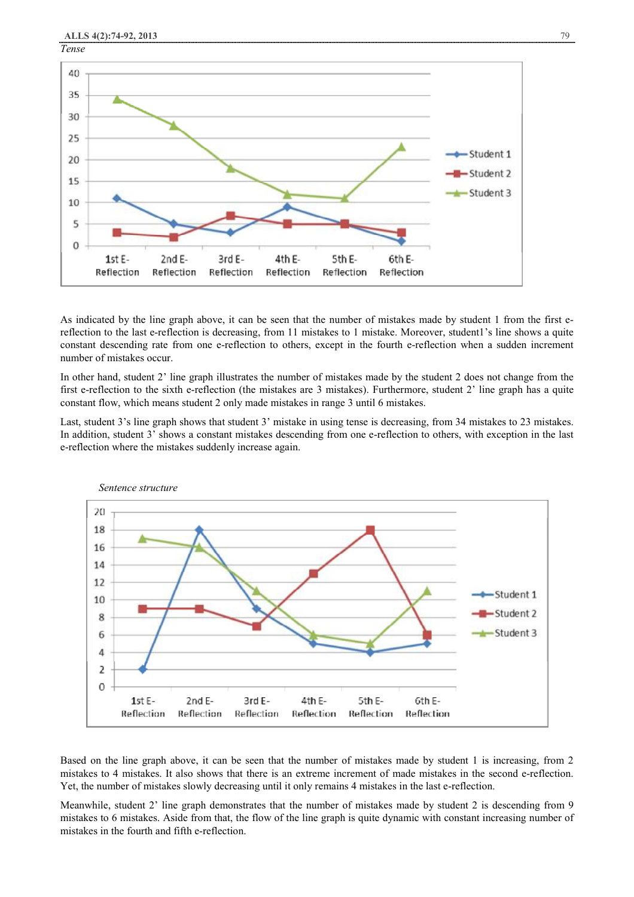

As indicated by the line graph above, it can be seen that the number of mistakes made by student 1 from the first ereflection to the last e-reflection is decreasing, from 11 mistakes to 1 mistake. Moreover, student1's line shows a quite constant descending rate from one e-reflection to others, except in the fourth e-reflection when a sudden increment number of mistakes occur.

In other hand, student 2' line graph illustrates the number of mistakes made by the student 2 does not change from the first e-reflection to the sixth e-reflection (the mistakes are 3 mistakes). Furthermore, student 2' line graph has a quite constant flow, which means student 2 only made mistakes in range 3 until 6 mistakes.

Last, student 3's line graph shows that student 3' mistake in using tense is decreasing, from 34 mistakes to 23 mistakes. In addition, student 3' shows a constant mistakes descending from one e-reflection to others, with exception in the last e-reflection where the mistakes suddenly increase again.



Based on the line graph above, it can be seen that the number of mistakes made by student 1 is increasing, from 2 mistakes to 4 mistakes. It also shows that there is an extreme increment of made mistakes in the second e-reflection. Yet, the number of mistakes slowly decreasing until it only remains 4 mistakes in the last e-reflection.

Meanwhile, student 2' line graph demonstrates that the number of mistakes made by student 2 is descending from 9 mistakes to 6 mistakes. Aside from that, the flow of the line graph is quite dynamic with constant increasing number of mistakes in the fourth and fifth e-reflection.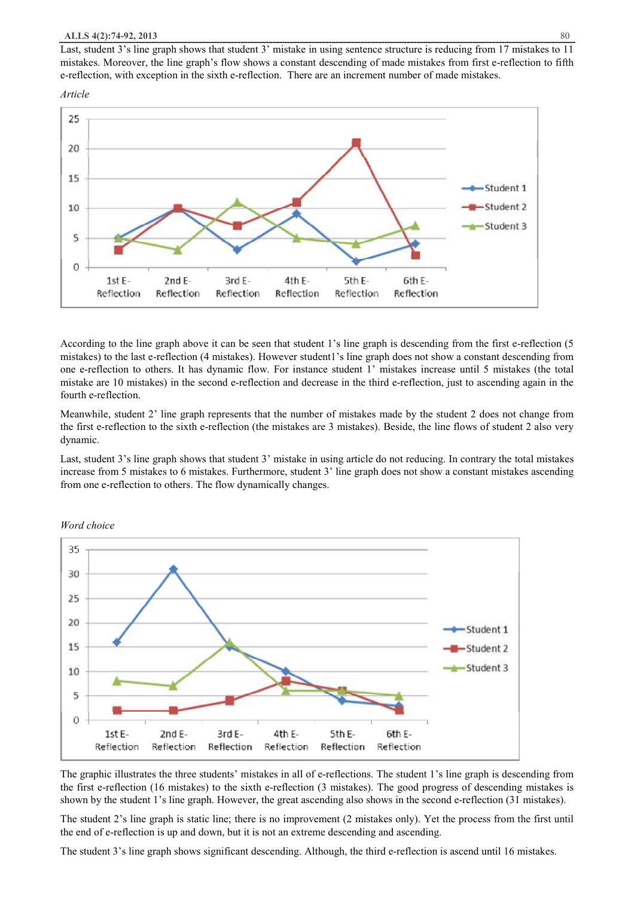Last, student 3's line graph shows that student 3' mistake in using sentence structure is reducing from 17 mistakes to 11 mistakes. Moreover, the line graph's flow shows a constant descending of made mistakes from first e-reflection to fifth e-reflection, with exception in the sixth e-reflection. There are an increment number of made mistakes.

#### *Article*



According to the line graph above it can be seen that student 1's line graph is descending from the first e-reflection (5 mistakes) to the last e-reflection (4 mistakes). However student1's line graph does not show a constant descending from one e-reflection to others. It has dynamic flow. For instance student 1' mistakes increase until 5 mistakes (the total mistake are 10 mistakes) in the second e-reflection and decrease in the third e-reflection, just to ascending again in the fourth e-reflection.

Meanwhile, student 2' line graph represents that the number of mistakes made by the student 2 does not change from the first e-reflection to the sixth e-reflection (the mistakes are 3 mistakes). Beside, the line flows of student 2 also very dynamic.

Last, student 3's line graph shows that student 3' mistake in using article do not reducing. In contrary the total mistakes increase from 5 mistakes to 6 mistakes. Furthermore, student 3' line graph does not show a constant mistakes ascending from one e-reflection to others. The flow dynamically changes.



*Word choice* 

The graphic illustrates the three students' mistakes in all of e-reflections. The student 1's line graph is descending from the first e-reflection (16 mistakes) to the sixth e-reflection (3 mistakes). The good progress of descending mistakes is shown by the student 1's line graph. However, the great ascending also shows in the second e-reflection (31 mistakes).

The student 2's line graph is static line; there is no improvement (2 mistakes only). Yet the process from the first until the end of e-reflection is up and down, but it is not an extreme descending and ascending.

The student 3's line graph shows significant descending. Although, the third e-reflection is ascend until 16 mistakes.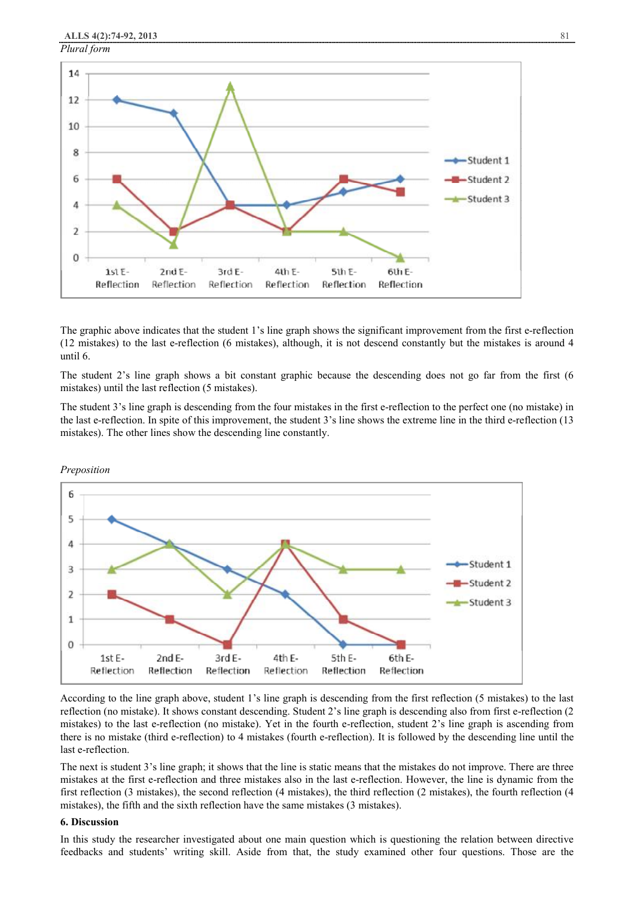

The graphic above indicates that the student 1's line graph shows the significant improvement from the first e-reflection (12 mistakes) to the last e-reflection (6 mistakes), although, it is not descend constantly but the mistakes is around 4 until 6.

The student 2's line graph shows a bit constant graphic because the descending does not go far from the first (6 mistakes) until the last reflection (5 mistakes).

The student 3's line graph is descending from the four mistakes in the first e-reflection to the perfect one (no mistake) in the last e-reflection. In spite of this improvement, the student 3's line shows the extreme line in the third e-reflection (13 mistakes). The other lines show the descending line constantly.



*Preposition* 

According to the line graph above, student 1's line graph is descending from the first reflection (5 mistakes) to the last reflection (no mistake). It shows constant descending. Student 2's line graph is descending also from first e-reflection (2 mistakes) to the last e-reflection (no mistake). Yet in the fourth e-reflection, student 2's line graph is ascending from there is no mistake (third e-reflection) to 4 mistakes (fourth e-reflection). It is followed by the descending line until the last e-reflection.

The next is student 3's line graph; it shows that the line is static means that the mistakes do not improve. There are three mistakes at the first e-reflection and three mistakes also in the last e-reflection. However, the line is dynamic from the first reflection (3 mistakes), the second reflection (4 mistakes), the third reflection (2 mistakes), the fourth reflection (4 mistakes), the fifth and the sixth reflection have the same mistakes (3 mistakes).

#### **6. Discussion**

In this study the researcher investigated about one main question which is questioning the relation between directive feedbacks and students' writing skill. Aside from that, the study examined other four questions. Those are the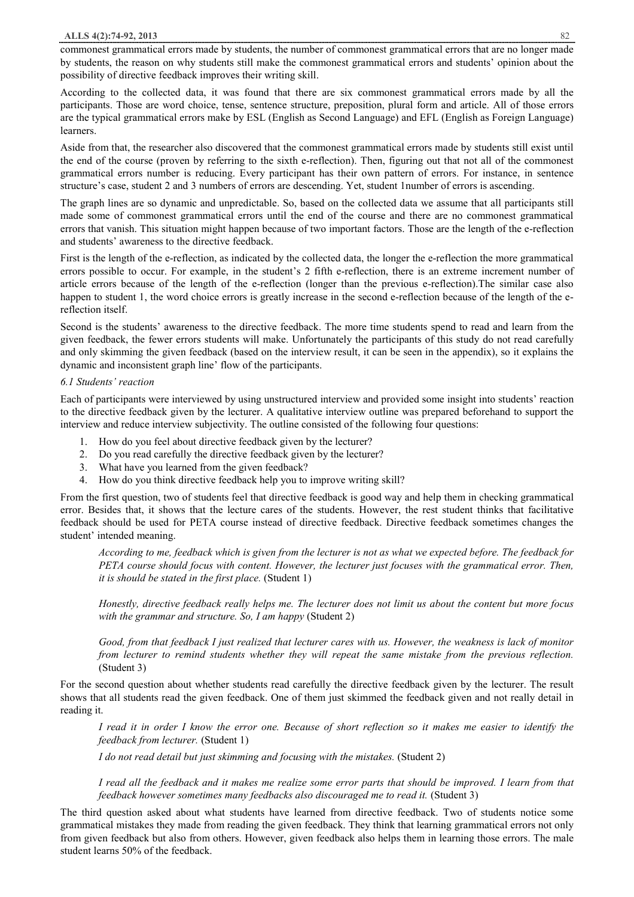commonest grammatical errors made by students, the number of commonest grammatical errors that are no longer made by students, the reason on why students still make the commonest grammatical errors and students' opinion about the possibility of directive feedback improves their writing skill.

According to the collected data, it was found that there are six commonest grammatical errors made by all the participants. Those are word choice, tense, sentence structure, preposition, plural form and article. All of those errors are the typical grammatical errors make by ESL (English as Second Language) and EFL (English as Foreign Language) learners.

Aside from that, the researcher also discovered that the commonest grammatical errors made by students still exist until the end of the course (proven by referring to the sixth e-reflection). Then, figuring out that not all of the commonest grammatical errors number is reducing. Every participant has their own pattern of errors. For instance, in sentence structure's case, student 2 and 3 numbers of errors are descending. Yet, student 1number of errors is ascending.

The graph lines are so dynamic and unpredictable. So, based on the collected data we assume that all participants still made some of commonest grammatical errors until the end of the course and there are no commonest grammatical errors that vanish. This situation might happen because of two important factors. Those are the length of the e-reflection and students' awareness to the directive feedback.

First is the length of the e-reflection, as indicated by the collected data, the longer the e-reflection the more grammatical errors possible to occur. For example, in the student's 2 fifth e-reflection, there is an extreme increment number of article errors because of the length of the e-reflection (longer than the previous e-reflection).The similar case also happen to student 1, the word choice errors is greatly increase in the second e-reflection because of the length of the ereflection itself.

Second is the students' awareness to the directive feedback. The more time students spend to read and learn from the given feedback, the fewer errors students will make. Unfortunately the participants of this study do not read carefully and only skimming the given feedback (based on the interview result, it can be seen in the appendix), so it explains the dynamic and inconsistent graph line' flow of the participants.

#### *6.1 Students' reaction*

Each of participants were interviewed by using unstructured interview and provided some insight into students' reaction to the directive feedback given by the lecturer. A qualitative interview outline was prepared beforehand to support the interview and reduce interview subjectivity. The outline consisted of the following four questions:

- 1. How do you feel about directive feedback given by the lecturer?
- 2. Do you read carefully the directive feedback given by the lecturer?
- 3. What have you learned from the given feedback?
- 4. How do you think directive feedback help you to improve writing skill?

From the first question, two of students feel that directive feedback is good way and help them in checking grammatical error. Besides that, it shows that the lecture cares of the students. However, the rest student thinks that facilitative feedback should be used for PETA course instead of directive feedback. Directive feedback sometimes changes the student' intended meaning.

According to me, feedback which is given from the lecturer is not as what we expected before. The feedback for *PETA course should focus with content. However, the lecturer just focuses with the grammatical error. Then, it is should be stated in the first place.* (Student 1)

Honestly, directive feedback really helps me. The lecturer does not limit us about the content but more focus *with the grammar and structure. So, I am happy* (Student 2)

Good, from that feedback I just realized that lecturer cares with us. However, the weakness is lack of monitor *from lecturer to remind students whether they will repeat the same mistake from the previous reflection.*  (Student 3)

For the second question about whether students read carefully the directive feedback given by the lecturer. The result shows that all students read the given feedback. One of them just skimmed the feedback given and not really detail in reading it.

I read it in order I know the error one. Because of short reflection so it makes me easier to identify the *feedback from lecturer.* (Student 1)

*I do not read detail but just skimming and focusing with the mistakes.* (Student 2)

I read all the feedback and it makes me realize some error parts that should be improved. I learn from that *feedback however sometimes many feedbacks also discouraged me to read it.* (Student 3)

The third question asked about what students have learned from directive feedback. Two of students notice some grammatical mistakes they made from reading the given feedback. They think that learning grammatical errors not only from given feedback but also from others. However, given feedback also helps them in learning those errors. The male student learns 50% of the feedback.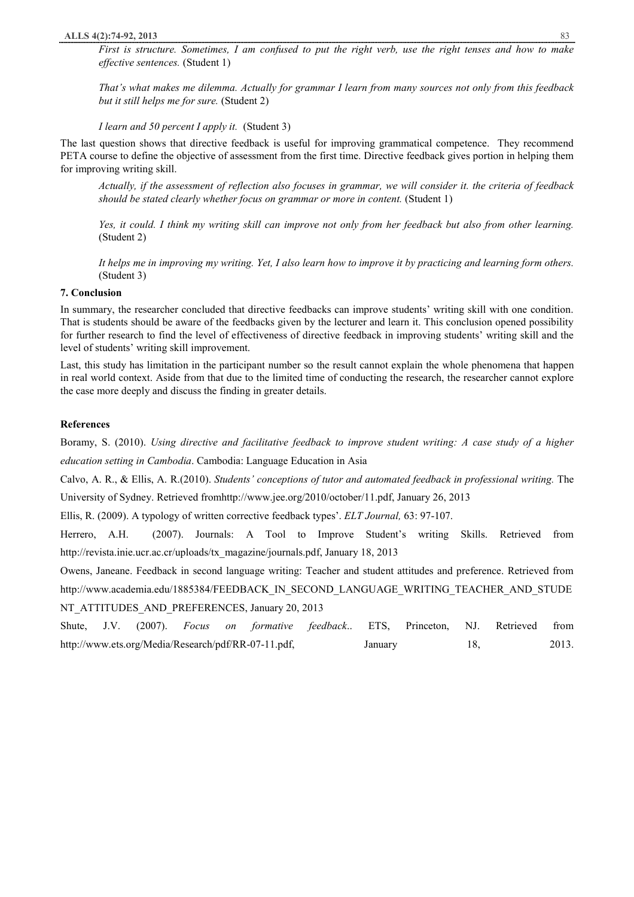First is structure. Sometimes, I am confused to put the right verb, use the right tenses and how to make *effective sentences.* (Student 1)

That's what makes me dilemma. Actually for grammar I learn from many sources not only from this feedback *but it still helps me for sure.* (Student 2)

*I learn and 50 percent I apply it.* (Student 3)

The last question shows that directive feedback is useful for improving grammatical competence. They recommend PETA course to define the objective of assessment from the first time. Directive feedback gives portion in helping them for improving writing skill.

Actually, if the assessment of reflection also focuses in grammar, we will consider it, the criteria of feedback *should be stated clearly whether focus on grammar or more in content.* (Student 1)

Yes, it could. I think my writing skill can improve not only from her feedback but also from other learning. (Student 2)

It helps me in improving my writing. Yet, I also learn how to improve it by practicing and learning form others. (Student 3)

#### **7. Conclusion**

In summary, the researcher concluded that directive feedbacks can improve students' writing skill with one condition. That is students should be aware of the feedbacks given by the lecturer and learn it. This conclusion opened possibility for further research to find the level of effectiveness of directive feedback in improving students' writing skill and the level of students' writing skill improvement.

Last, this study has limitation in the participant number so the result cannot explain the whole phenomena that happen in real world context. Aside from that due to the limited time of conducting the research, the researcher cannot explore the case more deeply and discuss the finding in greater details.

#### **References**

Boramy, S. (2010). *Using directive and facilitative feedback to improve student writing: A case study of a higher education setting in Cambodia*. Cambodia: Language Education in Asia

Calvo, A. R., & Ellis, A. R.(2010). *Students' conceptions of tutor and automated feedback in professional writing.* The University of Sydney. Retrieved fromhttp://www.jee.org/2010/october/11.pdf, January 26, 2013

Ellis, R. (2009). A typology of written corrective feedback types'. *ELT Journal,* 63: 97-107.

Herrero, A.H. (2007). Journals: A Tool to Improve Student's writing Skills. Retrieved from http://revista.inie.ucr.ac.cr/uploads/tx\_magazine/journals.pdf, January 18, 2013

Owens, Janeane. Feedback in second language writing: Teacher and student attitudes and preference. Retrieved from http://www.academia.edu/1885384/FEEDBACK\_IN\_SECOND\_LANGUAGE\_WRITING\_TEACHER\_AND\_STUDE NT\_ATTITUDES\_AND\_PREFERENCES, January 20, 2013

Shute, J.V. (2007). *Focus on formative feedback*.. ETS, Princeton, NJ. Retrieved from http://www.ets.org/Media/Research/pdf/RR-07-11.pdf, January 18, 2013.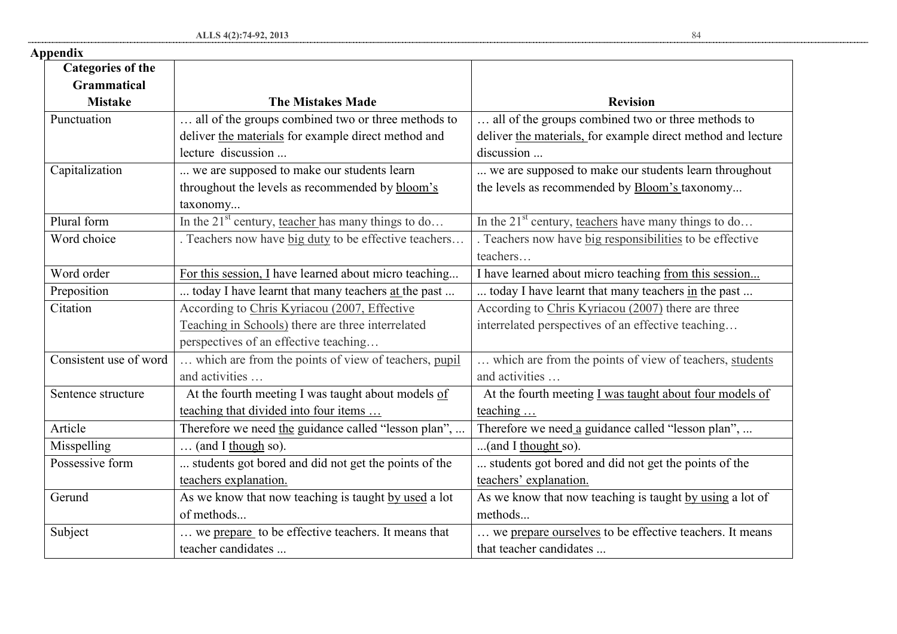| <b>Categories of the</b> |                                                       |                                                              |
|--------------------------|-------------------------------------------------------|--------------------------------------------------------------|
| <b>Grammatical</b>       |                                                       |                                                              |
| <b>Mistake</b>           | <b>The Mistakes Made</b>                              | <b>Revision</b>                                              |
| Punctuation              | all of the groups combined two or three methods to    | all of the groups combined two or three methods to           |
|                          | deliver the materials for example direct method and   | deliver the materials, for example direct method and lecture |
|                          | lecture discussion                                    | discussion                                                   |
| Capitalization           | we are supposed to make our students learn            | we are supposed to make our students learn throughout        |
|                          | throughout the levels as recommended by bloom's       | the levels as recommended by Bloom's taxonomy                |
|                          | taxonomy                                              |                                                              |
| Plural form              | In the $21st$ century, teacher has many things to do  | In the $21st$ century, teachers have many things to do       |
| Word choice              | . Teachers now have big duty to be effective teachers | . Teachers now have big responsibilities to be effective     |
|                          |                                                       | teachers                                                     |
| Word order               | For this session, I have learned about micro teaching | I have learned about micro teaching from this session        |
| Preposition              | today I have learnt that many teachers at the past    | today I have learnt that many teachers in the past           |
| Citation                 | According to Chris Kyriacou (2007, Effective          | According to Chris Kyriacou (2007) there are three           |
|                          | Teaching in Schools) there are three interrelated     | interrelated perspectives of an effective teaching           |
|                          | perspectives of an effective teaching                 |                                                              |
| Consistent use of word   | which are from the points of view of teachers, pupil  | which are from the points of view of teachers, students      |
|                          | and activities                                        | and activities                                               |
| Sentence structure       | At the fourth meeting I was taught about models of    | At the fourth meeting I was taught about four models of      |
|                          | teaching that divided into four items                 | teaching                                                     |
| Article                  | Therefore we need the guidance called "lesson plan",  | Therefore we need a guidance called "lesson plan",           |
| Misspelling              | $\ldots$ (and I though so).                           | (and I thought so).                                          |
| Possessive form          | students got bored and did not get the points of the  | students got bored and did not get the points of the         |
|                          | teachers explanation.                                 | teachers' explanation.                                       |
| Gerund                   | As we know that now teaching is taught by used a lot  | As we know that now teaching is taught by using a lot of     |
|                          | of methods                                            | methods                                                      |
| Subject                  | we prepare to be effective teachers. It means that    | we prepare ourselves to be effective teachers. It means      |
|                          | teacher candidates                                    | that teacher candidates                                      |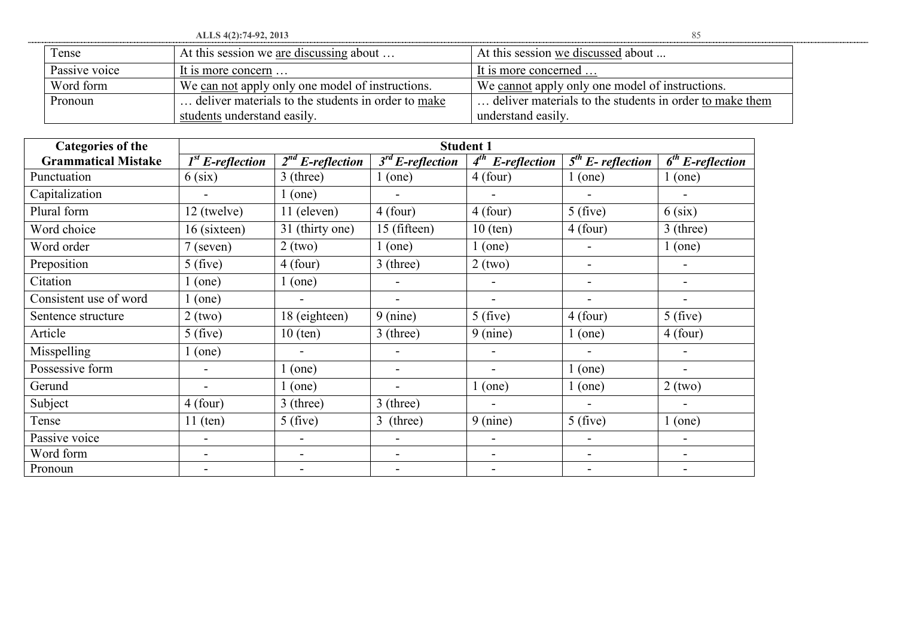**ALLS 4(2):74-92, 2013** 85 Tense At this session we are discussing about ... At this session we discussed about ... Passive voice It is more concern … Word form We can not apply only one model of instructions. We cannot apply only one model of instructions. Pronoun ... deliver materials to the students in order to make students understand easily. … deliver materials to the students in order to make them understand easily.

| <b>Categories of the</b>   | <b>Student 1</b>   |                                  |                          |                          |                                            |                    |  |
|----------------------------|--------------------|----------------------------------|--------------------------|--------------------------|--------------------------------------------|--------------------|--|
| <b>Grammatical Mistake</b> | $1st$ E-reflection | $\overline{2}^{nd}$ E-reflection | $3rd$ E-reflection       | $4^{th}$<br>E-reflection | $\overline{5}$ <sup>th</sup> E- reflection | $6th$ E-reflection |  |
| Punctuation                | $6$ (six)          | 3 (three)                        | $1$ (one)                | $4$ (four)               | $1$ (one)                                  | (one)              |  |
| Capitalization             | $\blacksquare$     | $1$ (one)                        | $\overline{\phantom{0}}$ |                          |                                            |                    |  |
| Plural form                | 12 (twelve)        | 11 (eleven)                      | $4$ (four)               | $4$ (four)               | 5(five)                                    | $6$ (six)          |  |
| Word choice                | 16 (sixteen)       | 31 (thirty one)                  | 15 (fifteen)             | $10$ (ten)               | $4$ (four)                                 | $3$ (three)        |  |
| Word order                 | $7$ (seven)        | $2$ (two)                        | $1$ (one)                | $1$ (one)                |                                            | $1$ (one)          |  |
| Preposition                | $5$ (five)         | $4$ (four)                       | $3$ (three)              | $2$ (two)                |                                            | $\blacksquare$     |  |
| Citation                   | (one)              | $1$ (one)                        |                          |                          |                                            | ۰                  |  |
| Consistent use of word     | (one)              |                                  |                          |                          |                                            |                    |  |
| Sentence structure         | $2$ (two)          | 18 (eighteen)                    | $9$ (nine)               | 5(five)                  | $4$ (four)                                 | $5$ (five)         |  |
| Article                    | $5$ (five)         | $10$ (ten)                       | $3$ (three)              | $9$ (nine)               | $1$ (one)                                  | $4$ (four)         |  |
| Misspelling                | (one)              |                                  |                          |                          |                                            |                    |  |
| Possessive form            |                    | $1$ (one)                        |                          |                          | $1$ (one)                                  |                    |  |
| Gerund                     |                    | $1$ (one)                        |                          | $1$ (one)                | $1$ (one)                                  | $2$ (two)          |  |
| Subject                    | $4$ (four)         | 3 (three)                        | $3$ (three)              | $\blacksquare$           | $\blacksquare$                             |                    |  |
| Tense                      | $11$ (ten)         | 5(five)                          | 3 (three)                | 9 (nine)                 | 5(five)                                    | (one)              |  |
| Passive voice              | $\blacksquare$     | $\blacksquare$                   | $\overline{\phantom{a}}$ |                          |                                            | ۰                  |  |
| Word form                  |                    |                                  |                          |                          |                                            |                    |  |
| Pronoun                    |                    |                                  |                          |                          |                                            |                    |  |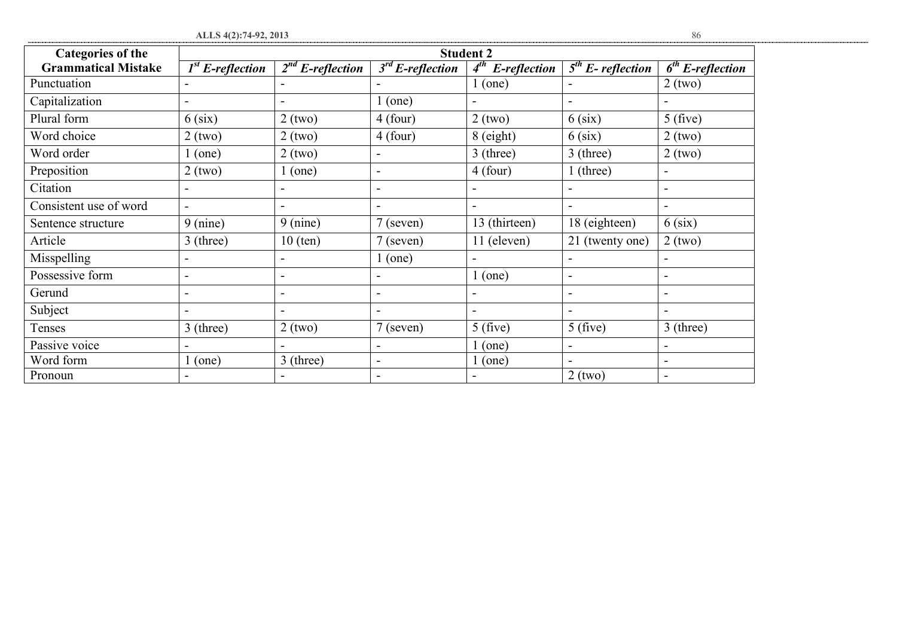| I<br>v<br>I<br>w<br>٧ | ٦<br>w<br>٦ |
|-----------------------|-------------|

| ALLS 4(2):74-92, 2013      |                          |                       |                          |                       |                     | 86                       |
|----------------------------|--------------------------|-----------------------|--------------------------|-----------------------|---------------------|--------------------------|
| <b>Categories of the</b>   | <b>Student 2</b>         |                       |                          |                       |                     |                          |
| <b>Grammatical Mistake</b> | $1st$ E-reflection       | $2^{nd}$ E-reflection | $3rd$ E-reflection       | $4^{th}$ E-reflection | $5th$ E- reflection | $6th$ E-reflection       |
| Punctuation                |                          |                       |                          | $1$ (one)             |                     | $2$ (two)                |
| Capitalization             |                          |                       | $1$ (one)                |                       |                     |                          |
| Plural form                | $6$ (six)                | $2$ (two)             | $4$ (four)               | $2$ (two)             | $6$ (six)           | $5$ (five)               |
| Word choice                | $2$ (two)                | $2$ (two)             | $4$ (four)               | $8$ (eight)           | $6$ (six)           | $2$ (two)                |
| Word order                 | (one)                    | $2$ (two)             | $\blacksquare$           | 3 (three)             | 3 (three)           | $2$ (two)                |
| Preposition                | $2$ (two)                | $1$ (one)             | $\overline{\phantom{0}}$ | $4$ (four)            | $1$ (three)         | $\blacksquare$           |
| Citation                   |                          |                       | $\blacksquare$           |                       |                     |                          |
| Consistent use of word     | $\blacksquare$           |                       | $\blacksquare$           |                       |                     |                          |
| Sentence structure         | $9 \text{ (nine)}$       | $9 \text{ (nine)}$    | 7 (seven)                | 13 (thirteen)         | 18 (eighteen)       | $6$ (six)                |
| Article                    | $3$ (three)              | $10$ (ten)            | $7$ (seven)              | 11 (eleven)           | 21 (twenty one)     | $2$ (two)                |
| Misspelling                | $\blacksquare$           |                       | $1$ (one)                |                       |                     |                          |
| Possessive form            | $\overline{\phantom{a}}$ |                       | $\overline{\phantom{0}}$ | (one)                 |                     | $\overline{\phantom{a}}$ |
| Gerund                     | $\overline{\phantom{a}}$ |                       | $\overline{\phantom{0}}$ |                       |                     | $\blacksquare$           |
| Subject                    |                          |                       |                          |                       |                     |                          |
| Tenses                     | 3 (three)                | $2$ (two)             | $7$ (seven)              | 5(five)               | 5(five)             | $3$ (three)              |
| Passive voice              |                          |                       |                          | $\lfloor$ (one)       |                     |                          |
| Word form                  | (one)                    | $3$ (three)           | $\overline{\phantom{a}}$ | (one)                 |                     | $\overline{\phantom{0}}$ |
| Pronoun                    |                          |                       | $\overline{\phantom{a}}$ |                       | $2$ (two)           |                          |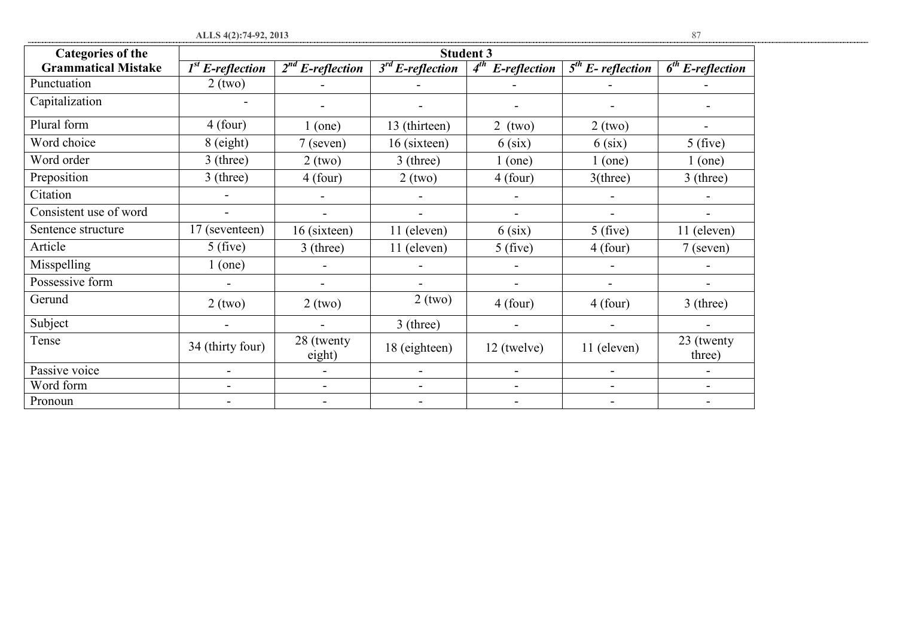| <b>Categories of the</b>   | <b>Student 3</b>   |                       |                          |                          |                     |                      |  |  |
|----------------------------|--------------------|-----------------------|--------------------------|--------------------------|---------------------|----------------------|--|--|
| <b>Grammatical Mistake</b> | $1st$ E-reflection | $2^{nd}$ E-reflection | $3rd$ E-reflection       | $4^{th}$<br>E-reflection | $5th$ E- reflection | $6th$ E-reflection   |  |  |
| Punctuation                | $2$ (two)          |                       |                          |                          |                     |                      |  |  |
| Capitalization             |                    | -                     | $\overline{\phantom{a}}$ |                          |                     |                      |  |  |
| Plural form                | $4$ (four)         | (one)                 | 13 (thirteen)            | $2$ (two)                | $2$ (two)           |                      |  |  |
| Word choice                | 8 (eight)          | $7$ (seven)           | 16 (sixteen)             | $6$ (six)                | $6$ (six)           | 5(five)              |  |  |
| Word order                 | $3$ (three)        | $2$ (two)             | $3$ (three)              | (one)                    | $1$ (one)           | $1$ (one)            |  |  |
| Preposition                | $3$ (three)        | $4$ (four)            | $2$ (two)                | $4$ (four)               | $3$ (three)         | $3$ (three)          |  |  |
| Citation                   |                    |                       |                          |                          |                     |                      |  |  |
| Consistent use of word     |                    |                       |                          |                          |                     |                      |  |  |
| Sentence structure         | 17 (seventeen)     | 16 (sixteen)          | 11 (eleven)              | 6 (six)                  | $5$ (five)          | 11 (eleven)          |  |  |
| Article                    | 5(five)            | $3$ (three)           | 11 (eleven)              | 5(five)                  | $4$ (four)          | $7$ (seven)          |  |  |
| Misspelling                | $1$ (one)          |                       |                          |                          |                     |                      |  |  |
| Possessive form            |                    | -                     | $\overline{\phantom{a}}$ |                          |                     |                      |  |  |
| Gerund                     | $2$ (two)          | $2$ (two)             | $2$ (two)                | $4$ (four)               | $4$ (four)          | $3$ (three)          |  |  |
| Subject                    |                    |                       | $3$ (three)              |                          |                     |                      |  |  |
| Tense                      | 34 (thirty four)   | 28 (twenty<br>eight)  | 18 (eighteen)            | 12 (twelve)              | 11 (eleven)         | 23 (twenty<br>three) |  |  |
| Passive voice              | -                  |                       | $\blacksquare$           | $\qquad \qquad$          | $\overline{a}$      |                      |  |  |
| Word form                  |                    |                       | $\blacksquare$           | $\overline{\phantom{a}}$ | $\overline{a}$      |                      |  |  |
| Pronoun                    |                    |                       |                          |                          |                     |                      |  |  |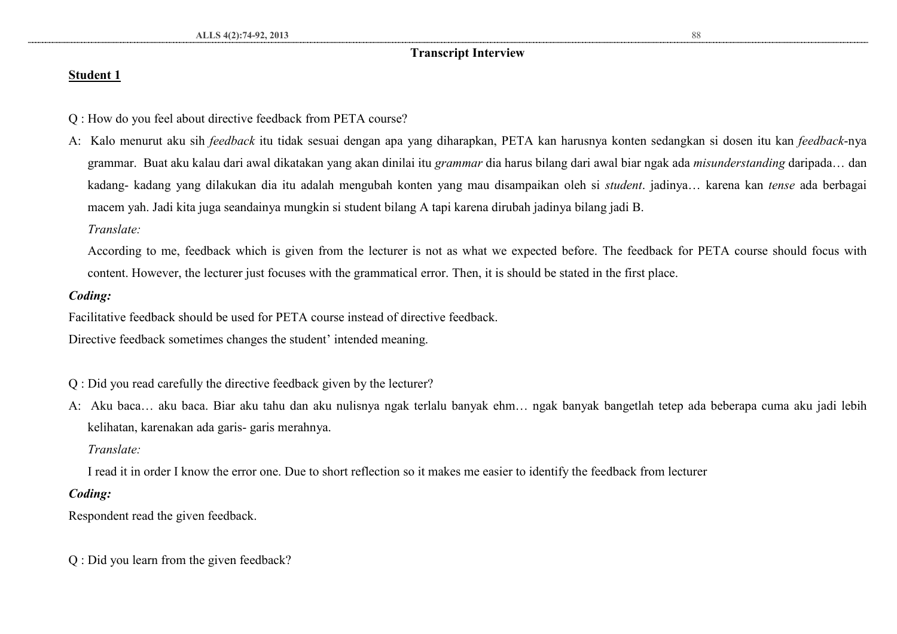### **Transcript Interview**

### **Student 1**

- Q : How do you feel about directive feedback from PETA course?
- A: Kalo menurut aku sih *feedback* itu tidak sesuai dengan apa yang diharapkan, PETA kan harusnya konten sedangkan si dosen itu kan *feedback*-nya grammar. Buat aku kalau dari awal dikatakan yang akan dinilai itu *grammar* dia harus bilang dari awal biar ngak ada *misunderstanding* daripada… dan kadang- kadang yang dilakukan dia itu adalah mengubah konten yang mau disampaikan oleh si *student*. jadinya… karena kan *tense* ada berbagai macem yah. Jadi kita juga seandainya mungkin si student bilang A tapi karena dirubah jadinya bilang jadi B.
	- *Translate:*

According to me, feedback which is given from the lecturer is not as what we expected before. The feedback for PETA course should focus with content. However, the lecturer just focuses with the grammatical error. Then, it is should be stated in the first place.

### *Coding:*

Facilitative feedback should be used for PETA course instead of directive feedback.

Directive feedback sometimes changes the student' intended meaning.

- Q : Did you read carefully the directive feedback given by the lecturer?
- A: Aku baca… aku baca. Biar aku tahu dan aku nulisnya ngak terlalu banyak ehm… ngak banyak bangetlah tetep ada beberapa cuma aku jadi lebih kelihatan, karenakan ada garis- garis merahnya.

### *Translate:*

I read it in order I know the error one. Due to short reflection so it makes me easier to identify the feedback from lecturer

### *Coding:*

Respondent read the given feedback.

Q : Did you learn from the given feedback?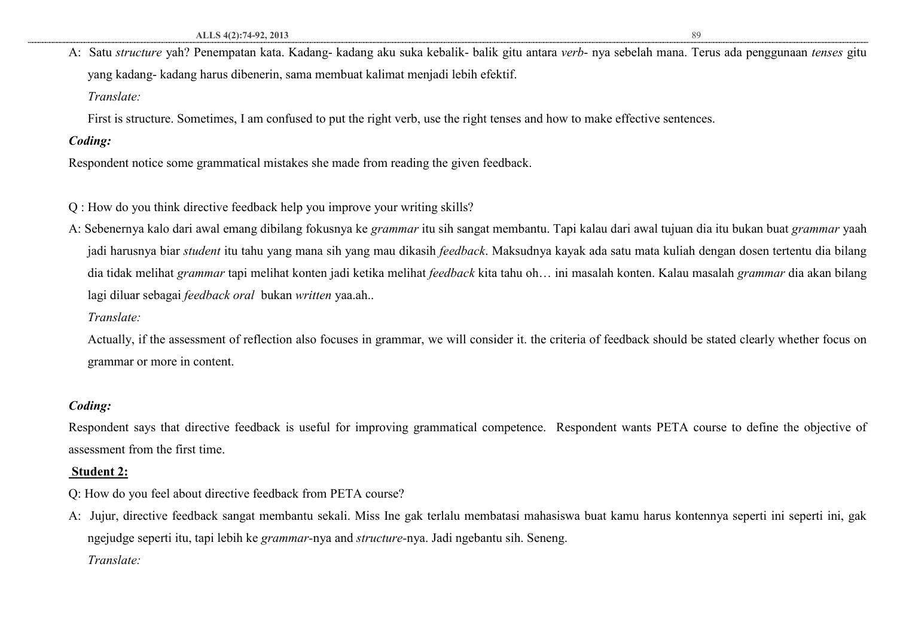A: Satu *structure* yah? Penempatan kata. Kadang- kadang aku suka kebalik- balik gitu antara *verb*- nya sebelah mana. Terus ada penggunaan *tenses* gitu yang kadang- kadang harus dibenerin, sama membuat kalimat menjadi lebih efektif. *Translate:* 

First is structure. Sometimes, I am confused to put the right verb, use the right tenses and how to make effective sentences.

### *Coding:*

Respondent notice some grammatical mistakes she made from reading the given feedback.

Q : How do you think directive feedback help you improve your writing skills?

A: Sebenernya kalo dari awal emang dibilang fokusnya ke *grammar* itu sih sangat membantu. Tapi kalau dari awal tujuan dia itu bukan buat *grammar* yaah jadi harusnya biar *student* itu tahu yang mana sih yang mau dikasih *feedback*. Maksudnya kayak ada satu mata kuliah dengan dosen tertentu dia bilang dia tidak melihat *grammar* tapi melihat konten jadi ketika melihat *feedback* kita tahu oh… ini masalah konten. Kalau masalah *grammar* dia akan bilang lagi diluar sebagai *feedback oral* bukan *written* yaa.ah..

### *Translate:*

Actually, if the assessment of reflection also focuses in grammar, we will consider it. the criteria of feedback should be stated clearly whether focus on grammar or more in content.

### *Coding:*

Respondent says that directive feedback is useful for improving grammatical competence. Respondent wants PETA course to define the objective of assessment from the first time.

### **Student 2:**

- Q: How do you feel about directive feedback from PETA course?
- A: Jujur, directive feedback sangat membantu sekali. Miss Ine gak terlalu membatasi mahasiswa buat kamu harus kontennya seperti ini seperti ini, gak ngejudge seperti itu, tapi lebih ke *grammar-*nya and *structure-*nya. Jadi ngebantu sih. Seneng. *Translate:*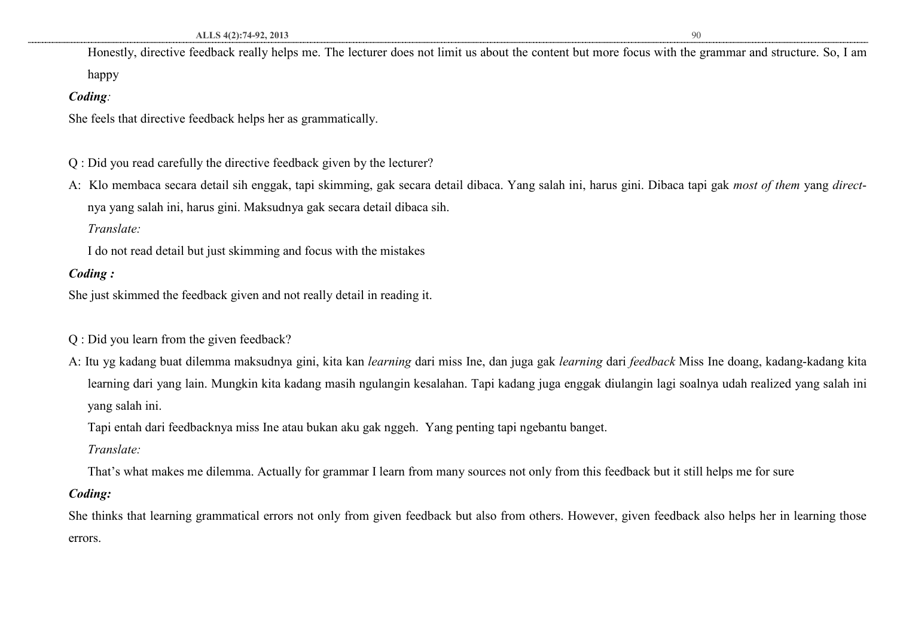Honestly, directive feedback really helps me. The lecturer does not limit us about the content but more focus with the grammar and structure. So, I am

happy

### *Coding:*

She feels that directive feedback helps her as grammatically.

- Q : Did you read carefully the directive feedback given by the lecturer?
- A: Klo membaca secara detail sih enggak, tapi skimming, gak secara detail dibaca. Yang salah ini, harus gini. Dibaca tapi gak *most of them* yang *direct*nya yang salah ini, harus gini. Maksudnya gak secara detail dibaca sih.

*Translate:* 

I do not read detail but just skimming and focus with the mistakes

### *Coding :*

She just skimmed the feedback given and not really detail in reading it.

- Q : Did you learn from the given feedback?
- A: Itu yg kadang buat dilemma maksudnya gini, kita kan *learning* dari miss Ine, dan juga gak *learning* dari *feedback* Miss Ine doang, kadang-kadang kita learning dari yang lain. Mungkin kita kadang masih ngulangin kesalahan. Tapi kadang juga enggak diulangin lagi soalnya udah realized yang salah ini yang salah ini.

Tapi entah dari feedbacknya miss Ine atau bukan aku gak nggeh. Yang penting tapi ngebantu banget.

*Translate:* 

That's what makes me dilemma. Actually for grammar I learn from many sources not only from this feedback but it still helps me for sure

### *Coding:*

She thinks that learning grammatical errors not only from given feedback but also from others. However, given feedback also helps her in learning those errors.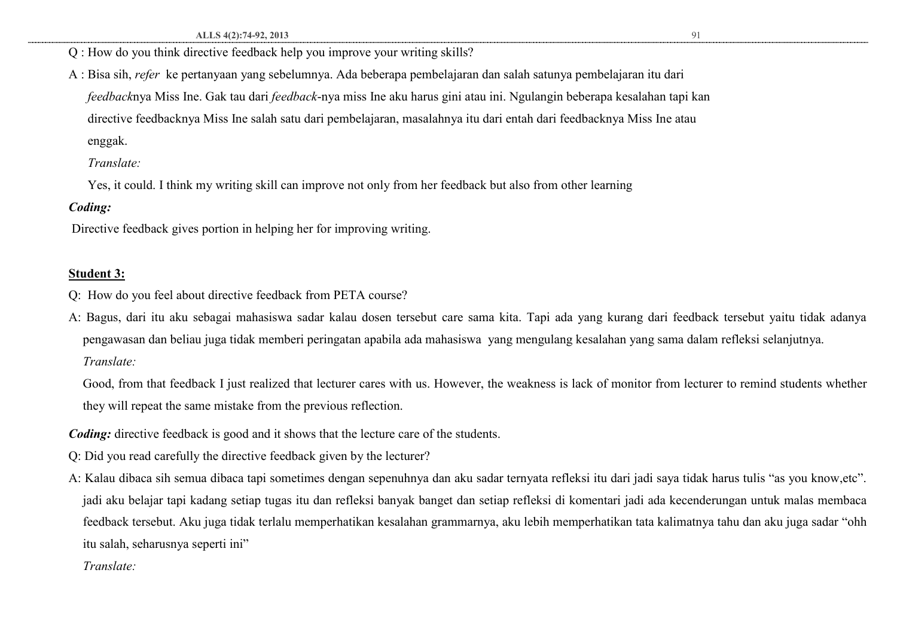- Q : How do you think directive feedback help you improve your writing skills?
- A : Bisa sih, *refer* ke pertanyaan yang sebelumnya. Ada beberapa pembelajaran dan salah satunya pembelajaran itu dari *feedback*nya Miss Ine. Gak tau dari *feedback*-nya miss Ine aku harus gini atau ini. Ngulangin beberapa kesalahan tapi kan directive feedbacknya Miss Ine salah satu dari pembelajaran, masalahnya itu dari entah dari feedbacknya Miss Ine atau enggak.

*Translate:* 

Yes, it could. I think my writing skill can improve not only from her feedback but also from other learning

### *Coding:*

Directive feedback gives portion in helping her for improving writing.

### **Student 3:**

- Q: How do you feel about directive feedback from PETA course?
- A: Bagus, dari itu aku sebagai mahasiswa sadar kalau dosen tersebut care sama kita. Tapi ada yang kurang dari feedback tersebut yaitu tidak adanya pengawasan dan beliau juga tidak memberi peringatan apabila ada mahasiswa yang mengulang kesalahan yang sama dalam refleksi selanjutnya. *Translate:*

Good, from that feedback I just realized that lecturer cares with us. However, the weakness is lack of monitor from lecturer to remind students whether they will repeat the same mistake from the previous reflection.

*Coding:* directive feedback is good and it shows that the lecture care of the students.

- Q: Did you read carefully the directive feedback given by the lecturer?
- A: Kalau dibaca sih semua dibaca tapi sometimes dengan sepenuhnya dan aku sadar ternyata refleksi itu dari jadi saya tidak harus tulis "as you know,etc". jadi aku belajar tapi kadang setiap tugas itu dan refleksi banyak banget dan setiap refleksi di komentari jadi ada kecenderungan untuk malas membaca feedback tersebut. Aku juga tidak terlalu memperhatikan kesalahan grammarnya, aku lebih memperhatikan tata kalimatnya tahu dan aku juga sadar "ohh itu salah, seharusnya seperti ini"
	- *Translate:*